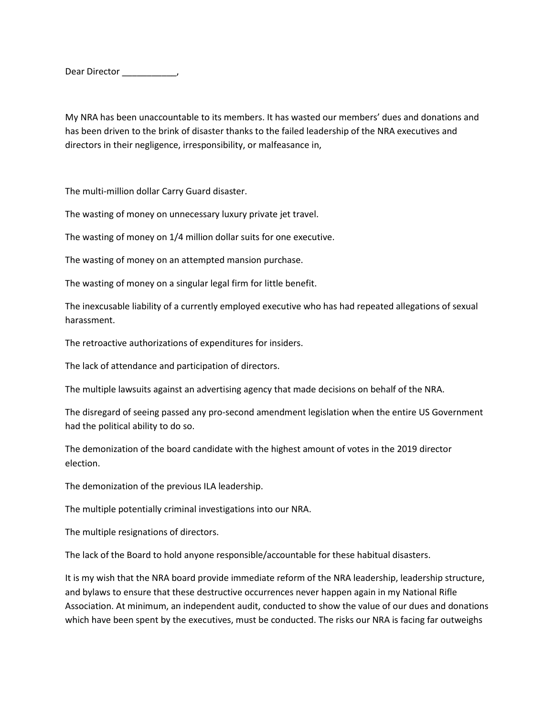Dear Director \_\_\_\_\_\_\_\_\_\_,

My NRA has been unaccountable to its members. It has wasted our members' dues and donations and has been driven to the brink of disaster thanks to the failed leadership of the NRA executives and directors in their negligence, irresponsibility, or malfeasance in,

The multi-million dollar Carry Guard disaster.

The wasting of money on unnecessary luxury private jet travel.

The wasting of money on 1/4 million dollar suits for one executive.

The wasting of money on an attempted mansion purchase.

The wasting of money on a singular legal firm for little benefit.

The inexcusable liability of a currently employed executive who has had repeated allegations of sexual harassment.

The retroactive authorizations of expenditures for insiders.

The lack of attendance and participation of directors.

The multiple lawsuits against an advertising agency that made decisions on behalf of the NRA.

The disregard of seeing passed any pro-second amendment legislation when the entire US Government had the political ability to do so.

The demonization of the board candidate with the highest amount of votes in the 2019 director election.

The demonization of the previous ILA leadership.

The multiple potentially criminal investigations into our NRA.

The multiple resignations of directors.

The lack of the Board to hold anyone responsible/accountable for these habitual disasters.

It is my wish that the NRA board provide immediate reform of the NRA leadership, leadership structure, and bylaws to ensure that these destructive occurrences never happen again in my National Rifle Association. At minimum, an independent audit, conducted to show the value of our dues and donations which have been spent by the executives, must be conducted. The risks our NRA is facing far outweighs